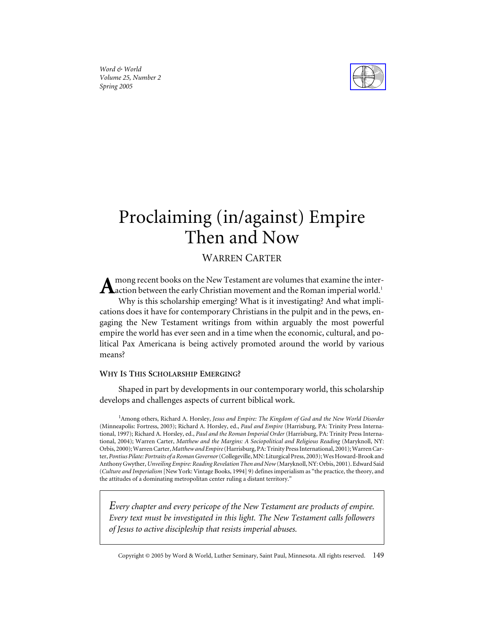*Word & World Volume 25, Number 2 Spring 2005*



# Proclaiming (in/against) Empire Then and Now

# WARREN CARTER

mong recent books on the New Testament are volumes that examine the inter- ${\bf A}$ action between the early Christian movement and the Roman imperial world.<sup>1</sup> Why is this scholarship emerging? What is it investigating? And what implications does it have for contemporary Christians in the pulpit and in the pews, engaging the New Testament writings from within arguably the most powerful empire the world has ever seen and in a time when the economic, cultural, and political Pax Americana is being actively promoted around the world by various means?

## **WHY IS THIS SCHOLARSHIP EMERGING?**

Shaped in part by developments in our contemporary world, this scholarship develops and challenges aspects of current biblical work.

<sup>1</sup> Among others, Richard A. Horsley, Jesus and Empire: The Kingdom of God and the New World Disorder (Minneapolis: Fortress, 2003); Richard A. Horsley, ed., *Paul and Empire* (Harrisburg, PA: Trinity Press International, 1997); Richard A. Horsley, ed., *Paul and the Roman Imperial Order* (Harrisburg, PA: Trinity Press International, 2004); Warren Carter, *Matthew and the Margins: A Sociopolitical and Religious Reading* (Maryknoll, NY: Orbis, 2000); Warren Carter,*Matthew and Empire*(Harrisburg, PA: Trinity Press International, 2001); Warren Carter, *Pontius Pilate: Portraits of a Roman Governor*(Collegeville, MN: Liturgical Press, 2003); Wes Howard-Brook and Anthony Gwyther, *Unveiling Empire: Reading Revelation Then and Now*(Maryknoll, NY: Orbis, 2001). Edward Said (*Culture and Imperialism* [New York: Vintage Books, 1994] 9) defines imperialism as "the practice, the theory, and the attitudes of a dominating metropolitan center ruling a distant territory."

*Every chapter and every pericope of the New Testament are products of empire. Every text must be investigated in this light. The New Testament calls followers of Jesus to active discipleship that resists imperial abuses.*

Copyright © 2005 by Word & World, Luther Seminary, Saint Paul, Minnesota. All rights reserved. 149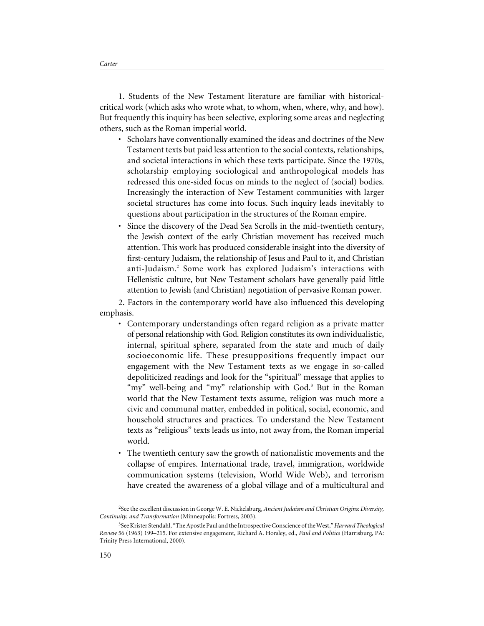1. Students of the New Testament literature are familiar with historicalcritical work (which asks who wrote what, to whom, when, where, why, and how). But frequently this inquiry has been selective, exploring some areas and neglecting others, such as the Roman imperial world.

- Scholars have conventionally examined the ideas and doctrines of the New Testament texts but paid less attention to the social contexts, relationships, and societal interactions in which these texts participate. Since the 1970s, scholarship employing sociological and anthropological models has redressed this one-sided focus on minds to the neglect of (social) bodies. Increasingly the interaction of New Testament communities with larger societal structures has come into focus. Such inquiry leads inevitably to questions about participation in the structures of the Roman empire.
- Since the discovery of the Dead Sea Scrolls in the mid-twentieth century, the Jewish context of the early Christian movement has received much attention. This work has produced considerable insight into the diversity of first-century Judaism, the relationship of Jesus and Paul to it, and Christian anti-Judaism.<sup>2</sup> Some work has explored Judaism's interactions with Hellenistic culture, but New Testament scholars have generally paid little attention to Jewish (and Christian) negotiation of pervasive Roman power.

2. Factors in the contemporary world have also influenced this developing emphasis.

- Contemporary understandings often regard religion as a private matter of personal relationship with God. Religion constitutes its own individualistic, internal, spiritual sphere, separated from the state and much of daily socioeconomic life. These presuppositions frequently impact our engagement with the New Testament texts as we engage in so-called depoliticized readings and look for the "spiritual" message that applies to "my" well-being and "my" relationship with God.<sup>3</sup> But in the Roman world that the New Testament texts assume, religion was much more a civic and communal matter, embedded in political, social, economic, and household structures and practices. To understand the New Testament texts as "religious" texts leads us into, not away from, the Roman imperial world.
- The twentieth century saw the growth of nationalistic movements and the collapse of empires. International trade, travel, immigration, worldwide communication systems (television, World Wide Web), and terrorism have created the awareness of a global village and of a multicultural and

<sup>2</sup> See the excellent discussion in George W. E. Nickelsburg, *Ancient Judaism and Christian Origins: Diversity, Continuity, and Transformation* (Minneapolis: Fortress, 2003).

<sup>3</sup> See Krister Stendahl, "The Apostle Paul and the Introspective Conscience of the West,"*Harvard Theological Review* 56 (1963) 199–215. For extensive engagement, Richard A. Horsley, ed., *Paul and Politics* (Harrisburg, PA: Trinity Press International, 2000).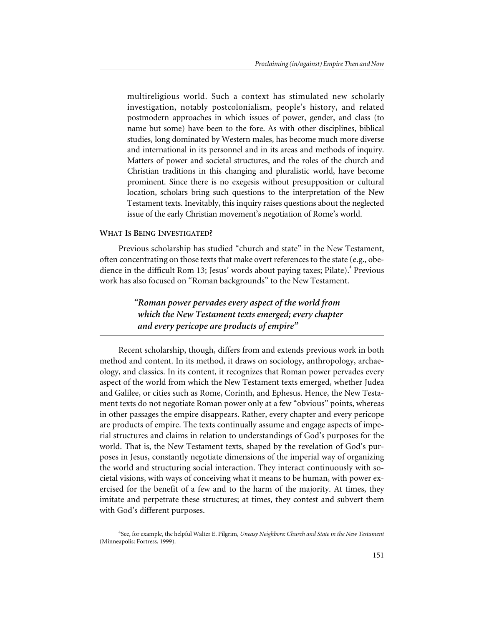multireligious world. Such a context has stimulated new scholarly investigation, notably postcolonialism, people's history, and related postmodern approaches in which issues of power, gender, and class (to name but some) have been to the fore. As with other disciplines, biblical studies, long dominated by Western males, has become much more diverse and international in its personnel and in its areas and methods of inquiry. Matters of power and societal structures, and the roles of the church and Christian traditions in this changing and pluralistic world, have become prominent. Since there is no exegesis without presupposition or cultural location, scholars bring such questions to the interpretation of the New Testament texts. Inevitably, this inquiry raises questions about the neglected issue of the early Christian movement's negotiation of Rome's world.

#### **WHAT IS BEING INVESTIGATED?**

Previous scholarship has studied "church and state" in the New Testament, often concentrating on those texts that make overt references to the state (e.g., obedience in the difficult Rom 13; Jesus' words about paying taxes; Pilate).<sup>4</sup> Previous work has also focused on "Roman backgrounds" to the New Testament.

> *"Roman power pervades every aspect of the world from which the New Testament texts emerged; every chapter and every pericope are products of empire"*

Recent scholarship, though, differs from and extends previous work in both method and content. In its method, it draws on sociology, anthropology, archaeology, and classics. In its content, it recognizes that Roman power pervades every aspect of the world from which the New Testament texts emerged, whether Judea and Galilee, or cities such as Rome, Corinth, and Ephesus. Hence, the New Testament texts do not negotiate Roman power only at a few "obvious" points, whereas in other passages the empire disappears. Rather, every chapter and every pericope are products of empire. The texts continually assume and engage aspects of imperial structures and claims in relation to understandings of God's purposes for the world. That is, the New Testament texts, shaped by the revelation of God's purposes in Jesus, constantly negotiate dimensions of the imperial way of organizing the world and structuring social interaction. They interact continuously with societal visions, with ways of conceiving what it means to be human, with power exercised for the benefit of a few and to the harm of the majority. At times, they imitate and perpetrate these structures; at times, they contest and subvert them with God's different purposes.

<sup>4</sup> See, for example, the helpful Walter E. Pilgrim, *Uneasy Neighbors: Church and State in the New Testament* (Minneapolis: Fortress, 1999).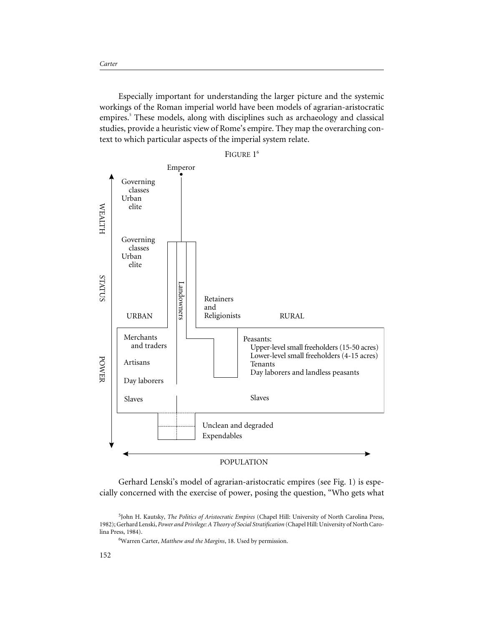Especially important for understanding the larger picture and the systemic workings of the Roman imperial world have been models of agrarian-aristocratic empires.<sup>5</sup> These models, along with disciplines such as archaeology and classical studies, provide a heuristic view of Rome's empire. They map the overarching context to which particular aspects of the imperial system relate.



Gerhard Lenski's model of agrarian-aristocratic empires (see Fig. 1) is especially concerned with the exercise of power, posing the question, "Who gets what

6 Warren Carter, *Matthew and the Margins*, 18. Used by permission.

<sup>5</sup> John H. Kautsky, *The Politics of Aristocratic Empires* (Chapel Hill: University of North Carolina Press, 1982); Gerhard Lenski, *Power and Privilege: A Theory of Social Stratification* (Chapel Hill: University of North Carolina Press, 1984).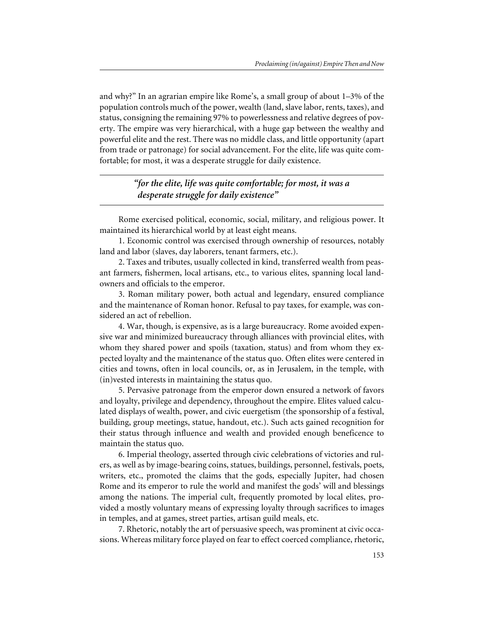and why?" In an agrarian empire like Rome's, a small group of about 1–3% of the population controls much of the power, wealth (land, slave labor, rents, taxes), and status, consigning the remaining 97% to powerlessness and relative degrees of poverty. The empire was very hierarchical, with a huge gap between the wealthy and powerful elite and the rest. There was no middle class, and little opportunity (apart from trade or patronage) for social advancement. For the elite, life was quite comfortable; for most, it was a desperate struggle for daily existence.

> *"for the elite, life was quite comfortable; for most, it was a desperate struggle for daily existence"*

Rome exercised political, economic, social, military, and religious power. It maintained its hierarchical world by at least eight means.

1. Economic control was exercised through ownership of resources, notably land and labor (slaves, day laborers, tenant farmers, etc.).

2. Taxes and tributes, usually collected in kind, transferred wealth from peasant farmers, fishermen, local artisans, etc., to various elites, spanning local landowners and officials to the emperor.

3. Roman military power, both actual and legendary, ensured compliance and the maintenance of Roman honor. Refusal to pay taxes, for example, was considered an act of rebellion.

4. War, though, is expensive, as is a large bureaucracy. Rome avoided expensive war and minimized bureaucracy through alliances with provincial elites, with whom they shared power and spoils (taxation, status) and from whom they expected loyalty and the maintenance of the status quo. Often elites were centered in cities and towns, often in local councils, or, as in Jerusalem, in the temple, with (in)vested interests in maintaining the status quo.

5. Pervasive patronage from the emperor down ensured a network of favors and loyalty, privilege and dependency, throughout the empire. Elites valued calculated displays of wealth, power, and civic euergetism (the sponsorship of a festival, building, group meetings, statue, handout, etc.). Such acts gained recognition for their status through influence and wealth and provided enough beneficence to maintain the status quo.

6. Imperial theology, asserted through civic celebrations of victories and rulers, as well as by image-bearing coins, statues, buildings, personnel, festivals, poets, writers, etc., promoted the claims that the gods, especially Jupiter, had chosen Rome and its emperor to rule the world and manifest the gods' will and blessings among the nations. The imperial cult, frequently promoted by local elites, provided a mostly voluntary means of expressing loyalty through sacrifices to images in temples, and at games, street parties, artisan guild meals, etc.

7. Rhetoric, notably the art of persuasive speech, was prominent at civic occasions. Whereas military force played on fear to effect coerced compliance, rhetoric,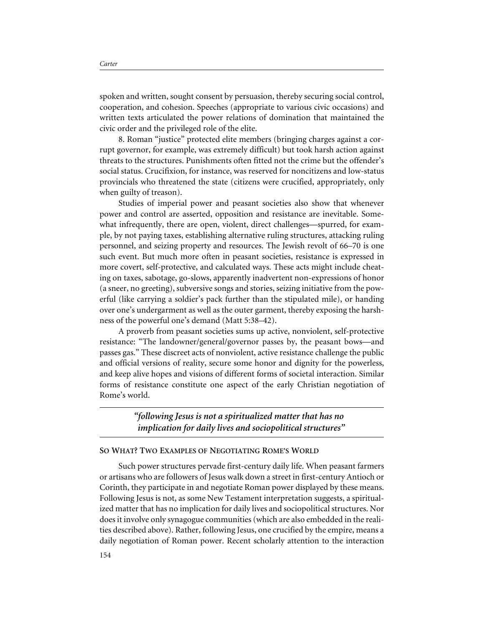spoken and written, sought consent by persuasion, thereby securing social control, cooperation, and cohesion. Speeches (appropriate to various civic occasions) and written texts articulated the power relations of domination that maintained the civic order and the privileged role of the elite.

8. Roman "justice" protected elite members (bringing charges against a corrupt governor, for example, was extremely difficult) but took harsh action against threats to the structures. Punishments often fitted not the crime but the offender's social status. Crucifixion, for instance, was reserved for noncitizens and low-status provincials who threatened the state (citizens were crucified, appropriately, only when guilty of treason).

Studies of imperial power and peasant societies also show that whenever power and control are asserted, opposition and resistance are inevitable. Somewhat infrequently, there are open, violent, direct challenges—spurred, for example, by not paying taxes, establishing alternative ruling structures, attacking ruling personnel, and seizing property and resources. The Jewish revolt of 66–70 is one such event. But much more often in peasant societies, resistance is expressed in more covert, self-protective, and calculated ways. These acts might include cheating on taxes, sabotage, go-slows, apparently inadvertent non-expressions of honor (a sneer, no greeting), subversive songs and stories, seizing initiative from the powerful (like carrying a soldier's pack further than the stipulated mile), or handing over one's undergarment as well as the outer garment, thereby exposing the harshness of the powerful one's demand (Matt 5:38–42).

A proverb from peasant societies sums up active, nonviolent, self-protective resistance: "The landowner/general/governor passes by, the peasant bows—and passes gas." These discreet acts of nonviolent, active resistance challenge the public and official versions of reality, secure some honor and dignity for the powerless, and keep alive hopes and visions of different forms of societal interaction. Similar forms of resistance constitute one aspect of the early Christian negotiation of Rome's world.

> *"following Jesus is not a spiritualized matter that has no implication for daily lives and sociopolitical structures"*

#### **SO WHAT? TWO EXAMPLES OF NEGOTIATING ROME'S WORLD**

Such power structures pervade first-century daily life. When peasant farmers or artisans who are followers of Jesus walk down a street in first-century Antioch or Corinth, they participate in and negotiate Roman power displayed by these means. Following Jesus is not, as some New Testament interpretation suggests, a spiritualized matter that has no implication for daily lives and sociopolitical structures. Nor does it involve only synagogue communities (which are also embedded in the realities described above). Rather, following Jesus, one crucified by the empire, means a daily negotiation of Roman power. Recent scholarly attention to the interaction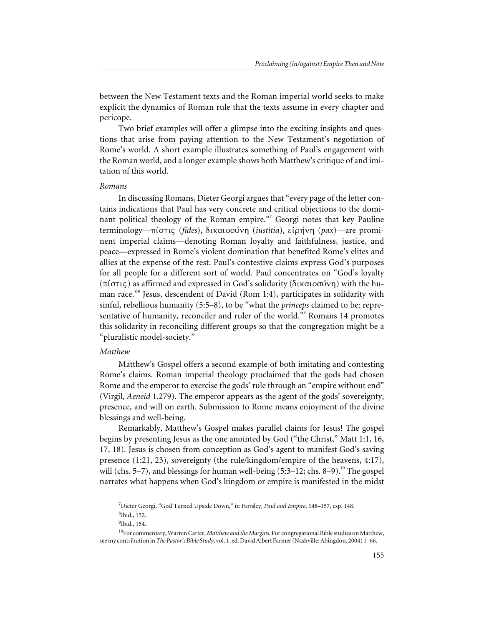between the New Testament texts and the Roman imperial world seeks to make explicit the dynamics of Roman rule that the texts assume in every chapter and pericope.

Two brief examples will offer a glimpse into the exciting insights and questions that arise from paying attention to the New Testament's negotiation of Rome's world. A short example illustrates something of Paul's engagement with the Roman world, and a longer example shows both Matthew's critique of and imitation of this world.

#### *Romans*

In discussing Romans, Dieter Georgi argues that "every page of the letter contains indications that Paul has very concrete and critical objections to the dominant political theology of the Roman empire."<sup>7</sup> Georgi notes that key Pauline terminology—πίστις (*fides*), δικαιοσύνη (*iustitia*), είρήνη (*pax*)—are prominent imperial claims—denoting Roman loyalty and faithfulness, justice, and peace—expressed in Rome's violent domination that benefited Rome's elites and allies at the expense of the rest. Paul's contestive claims express God's purposes for all people for a different sort of world. Paul concentrates on "God's loyalty (πίστις) as affirmed and expressed in God's solidarity (δικαιοσύνη) with the human race."8 Jesus, descendent of David (Rom 1:4), participates in solidarity with sinful, rebellious humanity (5:5–8), to be "what the *princeps* claimed to be: representative of humanity, reconciler and ruler of the world."<sup>9</sup> Romans 14 promotes this solidarity in reconciling different groups so that the congregation might be a "pluralistic model-society."

### *Matthew*

Matthew's Gospel offers a second example of both imitating and contesting Rome's claims. Roman imperial theology proclaimed that the gods had chosen Rome and the emperor to exercise the gods' rule through an "empire without end" (Virgil, *Aeneid* 1.279). The emperor appears as the agent of the gods' sovereignty, presence, and will on earth. Submission to Rome means enjoyment of the divine blessings and well-being.

Remarkably, Matthew's Gospel makes parallel claims for Jesus! The gospel begins by presenting Jesus as the one anointed by God ("the Christ," Matt 1:1, 16, 17, 18). Jesus is chosen from conception as God's agent to manifest God's saving presence (1:21, 23), sovereignty (the rule/kingdom/empire of the heavens, 4:17), will (chs.  $5-7$ ), and blessings for human well-being (5:3–12; chs. 8–9).<sup>10</sup> The gospel narrates what happens when God's kingdom or empire is manifested in the midst

<sup>7</sup> Dieter Georgi, "God Turned Upside Down," in Horsley, *Paul and Empire*, 148–157, esp. 148. 8 Ibid., 152.

<sup>&</sup>lt;sup>9</sup>Ibid., 154.

<sup>10</sup>For commentary, Warren Carter, *Matthew and the Margins*. For congregational Bible studies on Matthew, see my contribution in*The Pastor's Bible Study*, vol. 1, ed. David Albert Farmer (Nashville: Abingdon, 2004) 1–66.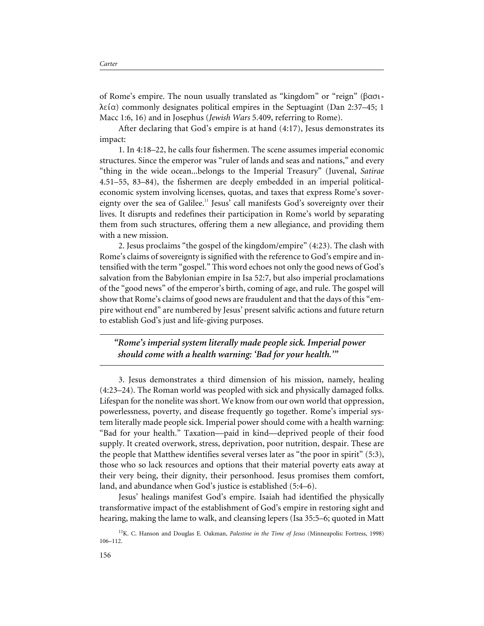of Rome's empire. The noun usually translated as "kingdom" or "reign" ( $\beta \alpha \sigma$ i- $\lambda \varepsilon(\alpha)$  commonly designates political empires in the Septuagint (Dan 2:37–45; 1) Macc 1:6, 16) and in Josephus (*Jewish Wars* 5.409, referring to Rome).

After declaring that God's empire is at hand (4:17), Jesus demonstrates its impact:

1. In 4:18–22, he calls four fishermen. The scene assumes imperial economic structures. Since the emperor was "ruler of lands and seas and nations," and every "thing in the wide ocean...belongs to the Imperial Treasury" (Juvenal, *Satirae* 4.51–55, 83–84), the fishermen are deeply embedded in an imperial politicaleconomic system involving licenses, quotas, and taxes that express Rome's sovereignty over the sea of Galilee.<sup>11</sup> Jesus' call manifests God's sovereignty over their lives. It disrupts and redefines their participation in Rome's world by separating them from such structures, offering them a new allegiance, and providing them with a new mission.

2. Jesus proclaims "the gospel of the kingdom/empire" (4:23). The clash with Rome's claims of sovereignty is signified with the reference to God's empire and intensified with the term "gospel." This word echoes not only the good news of God's salvation from the Babylonian empire in Isa 52:7, but also imperial proclamations of the "good news" of the emperor's birth, coming of age, and rule. The gospel will show that Rome's claims of good news are fraudulent and that the days of this "empire without end" are numbered by Jesus' present salvific actions and future return to establish God's just and life-giving purposes.

## *"Rome's imperial system literally made people sick. Imperial power should come with a health warning: 'Bad for your health.'"*

3. Jesus demonstrates a third dimension of his mission, namely, healing (4:23–24). The Roman world was peopled with sick and physically damaged folks. Lifespan for the nonelite was short. We know from our own world that oppression, powerlessness, poverty, and disease frequently go together. Rome's imperial system literally made people sick. Imperial power should come with a health warning: "Bad for your health." Taxation—paid in kind—deprived people of their food supply. It created overwork, stress, deprivation, poor nutrition, despair. These are the people that Matthew identifies several verses later as "the poor in spirit" (5:3), those who so lack resources and options that their material poverty eats away at their very being, their dignity, their personhood. Jesus promises them comfort, land, and abundance when God's justice is established (5:4–6).

Jesus' healings manifest God's empire. Isaiah had identified the physically transformative impact of the establishment of God's empire in restoring sight and hearing, making the lame to walk, and cleansing lepers (Isa 35:5–6; quoted in Matt

11K. C. Hanson and Douglas E. Oakman, *Palestine in the Time of Jesus* (Minneapolis: Fortress, 1998) 106–112.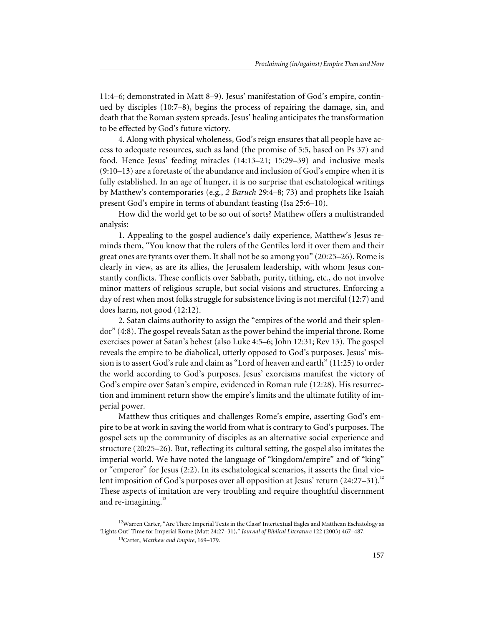11:4–6; demonstrated in Matt 8–9). Jesus' manifestation of God's empire, continued by disciples (10:7–8), begins the process of repairing the damage, sin, and death that the Roman system spreads. Jesus' healing anticipates the transformation to be effected by God's future victory.

4. Along with physical wholeness, God's reign ensures that all people have access to adequate resources, such as land (the promise of 5:5, based on Ps 37) and food. Hence Jesus' feeding miracles (14:13–21; 15:29–39) and inclusive meals (9:10–13) are a foretaste of the abundance and inclusion of God's empire when it is fully established. In an age of hunger, it is no surprise that eschatological writings by Matthew's contemporaries (e.g., *2 Baruch* 29:4–8; 73) and prophets like Isaiah present God's empire in terms of abundant feasting (Isa 25:6–10).

How did the world get to be so out of sorts? Matthew offers a multistranded analysis:

1. Appealing to the gospel audience's daily experience, Matthew's Jesus reminds them, "You know that the rulers of the Gentiles lord it over them and their great ones are tyrants over them. It shall not be so among you" (20:25–26). Rome is clearly in view, as are its allies, the Jerusalem leadership, with whom Jesus constantly conflicts. These conflicts over Sabbath, purity, tithing, etc., do not involve minor matters of religious scruple, but social visions and structures. Enforcing a day of rest when most folks struggle for subsistence living is not merciful (12:7) and does harm, not good (12:12).

2. Satan claims authority to assign the "empires of the world and their splendor" (4:8). The gospel reveals Satan as the power behind the imperial throne. Rome exercises power at Satan's behest (also Luke 4:5–6; John 12:31; Rev 13). The gospel reveals the empire to be diabolical, utterly opposed to God's purposes. Jesus' mission is to assert God's rule and claim as "Lord of heaven and earth" (11:25) to order the world according to God's purposes. Jesus' exorcisms manifest the victory of God's empire over Satan's empire, evidenced in Roman rule (12:28). His resurrection and imminent return show the empire's limits and the ultimate futility of imperial power.

Matthew thus critiques and challenges Rome's empire, asserting God's empire to be at work in saving the world from what is contrary to God's purposes. The gospel sets up the community of disciples as an alternative social experience and structure (20:25–26). But, reflecting its cultural setting, the gospel also imitates the imperial world. We have noted the language of "kingdom/empire" and of "king" or "emperor" for Jesus (2:2). In its eschatological scenarios, it asserts the final violent imposition of God's purposes over all opposition at Jesus' return  $(24:27-31)$ .<sup>12</sup> These aspects of imitation are very troubling and require thoughtful discernment and re-imagining. $13$ 

 $12$ Warren Carter, "Are There Imperial Texts in the Class? Intertextual Eagles and Matthean Eschatology as 'Lights Out' Time for Imperial Rome (Matt 24:27–31)," *Journal of Biblical Literature* 122 (2003) 467–487.

<sup>13</sup>Carter, *Matthew and Empire*, 169–179.